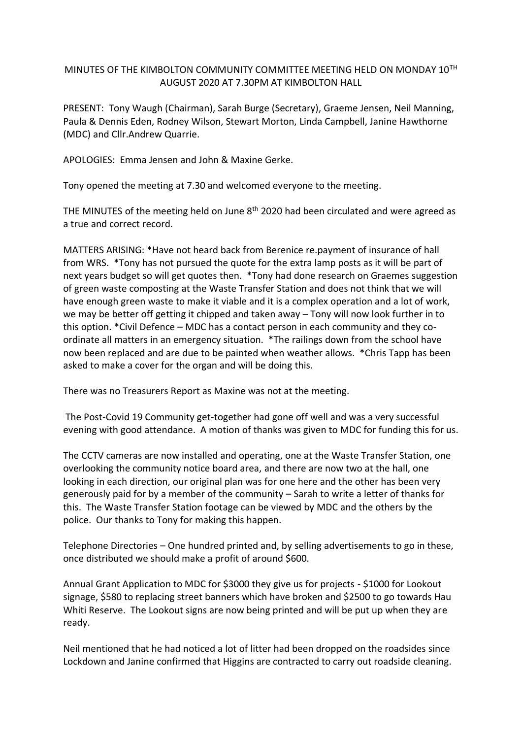## MINUTES OF THE KIMBOLTON COMMUNITY COMMITTEE MEETING HELD ON MONDAY 10TH AUGUST 2020 AT 7.30PM AT KIMBOLTON HALL

PRESENT: Tony Waugh (Chairman), Sarah Burge (Secretary), Graeme Jensen, Neil Manning, Paula & Dennis Eden, Rodney Wilson, Stewart Morton, Linda Campbell, Janine Hawthorne (MDC) and Cllr.Andrew Quarrie.

APOLOGIES: Emma Jensen and John & Maxine Gerke.

Tony opened the meeting at 7.30 and welcomed everyone to the meeting.

THE MINUTES of the meeting held on June 8<sup>th</sup> 2020 had been circulated and were agreed as a true and correct record.

MATTERS ARISING: \*Have not heard back from Berenice re.payment of insurance of hall from WRS. \*Tony has not pursued the quote for the extra lamp posts as it will be part of next years budget so will get quotes then. \*Tony had done research on Graemes suggestion of green waste composting at the Waste Transfer Station and does not think that we will have enough green waste to make it viable and it is a complex operation and a lot of work, we may be better off getting it chipped and taken away – Tony will now look further in to this option. \*Civil Defence – MDC has a contact person in each community and they coordinate all matters in an emergency situation. \*The railings down from the school have now been replaced and are due to be painted when weather allows. \*Chris Tapp has been asked to make a cover for the organ and will be doing this.

There was no Treasurers Report as Maxine was not at the meeting.

The Post-Covid 19 Community get-together had gone off well and was a very successful evening with good attendance. A motion of thanks was given to MDC for funding this for us.

The CCTV cameras are now installed and operating, one at the Waste Transfer Station, one overlooking the community notice board area, and there are now two at the hall, one looking in each direction, our original plan was for one here and the other has been very generously paid for by a member of the community – Sarah to write a letter of thanks for this. The Waste Transfer Station footage can be viewed by MDC and the others by the police. Our thanks to Tony for making this happen.

Telephone Directories – One hundred printed and, by selling advertisements to go in these, once distributed we should make a profit of around \$600.

Annual Grant Application to MDC for \$3000 they give us for projects - \$1000 for Lookout signage, \$580 to replacing street banners which have broken and \$2500 to go towards Hau Whiti Reserve. The Lookout signs are now being printed and will be put up when they are ready.

Neil mentioned that he had noticed a lot of litter had been dropped on the roadsides since Lockdown and Janine confirmed that Higgins are contracted to carry out roadside cleaning.